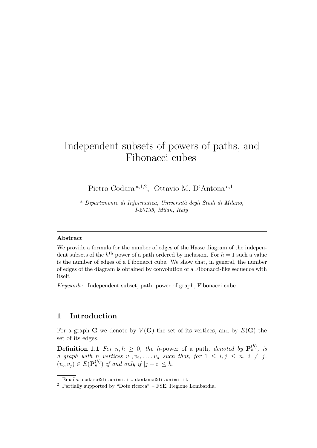# Independent subsets of powers of paths, and Fibonacci cubes

Pietro Codara<sup>a, 1,2</sup>, Ottavio M. D'Antona<sup>a, 1</sup>

<sup>a</sup> *Dipartimento di Informatica, Universit`a degli Studi di Milano, I-20135, Milan, Italy*

#### **Abstract**

We provide a formula for the number of edges of the Hasse diagram of the independent subsets of the  $h<sup>th</sup>$  power of a path ordered by inclusion. For  $h = 1$  such a value is the number of edges of a Fibonacci cube. We show that, in general, the number of edges of the diagram is obtained by convolution of a Fibonacci-like sequence with itself.

*Keywords:* Independent subset, path, power of graph, Fibonacci cube.

## **1 Introduction**

For a graph **G** we denote by  $V(G)$  the set of its vertices, and by  $E(G)$  the set of its edges.

**Definition 1.1** For  $n, h \geq 0$ , the *h*-power of a path, denoted by  $\mathbf{P}_n^{(h)}$ , is *a* graph with n vertices  $v_1, v_2, \ldots, v_n$  such that, for  $1 \leq i, j \leq n, i \neq j$ ,  $(v_i, v_j) \in E(\mathbf{P}_n^{(h)})$  *if and only if*  $|j - i| \leq h$ *.* 

<sup>1</sup> Emails: codara@di.unimi.it, dantona@di.unimi.it

<sup>2</sup> Partially supported by "Dote ricerca" – FSE, Regione Lombardia.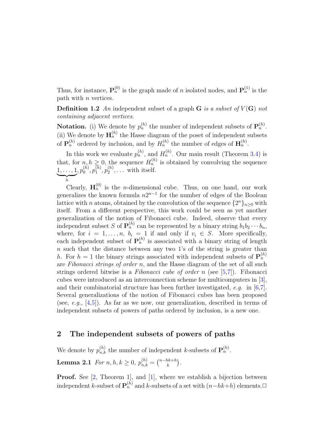Thus, for instance,  $\mathbf{P}_n^{(0)}$  is the graph made of *n* isolated nodes, and  $\mathbf{P}_n^{(1)}$  is the path with *n* vertices.

**Definition 1.2** An independent subset of a graph  $\bf{G}$  *is a subset of*  $V(\bf{G})$  *not containing adjacent vertices.*

**Notation.** (i) We denote by  $p_n^{(h)}$  the number of independent subsets of  $\mathbf{P}_n^{(h)}$ . (ii) We denote by  $\mathbf{H}_n^{(h)}$  the Hasse diagram of the poset of independent subsets of  $\mathbf{P}_n^{(h)}$  ordered by inclusion, and by  $H_n^{(h)}$  the number of edges of  $\mathbf{H}_n^{(h)}$ .

In this work we evaluate  $p_n^{(h)}$ , and  $H_n^{(h)}$ . Our main result (Theorem 3.4) is that, for  $n, h \geq 0$ , the sequence  $H_n^{(h)}$  is obtained by convolving the sequence 1*, . . . ,* 1  $\sum_{h}$ *h*  $, p_0^{(h)}$  $\stackrel{(h)}{0},\stackrel{(h)}{p_1^{(h)}}$  $p_1^{(h)},p_2^{(h)}$  $\mathbf{z}^{(n)}_2, \ldots$  with itself.

Clearly,  $\mathbf{H}_n^{(0)}$  is the *n*-dimensional cube. Thus, on one hand, our work generalizes the known formula  $n2^{n-1}$  for the number of edges of the Boolean lattice with *n* atoms, obtained by the convolution of the sequence  $\{2^n\}_{n\geq 0}$  with itself. From a different perspective, this work could be seen as yet another generalization of the notion of Fibonacci cube. Indeed, observe that every independent subset *S* of  $\mathbf{P}_n^{(h)}$  can be represented by a binary string  $b_1b_2 \cdots b_n$ , where, for  $i = 1, \ldots, n$ ,  $b_i = 1$  if and only if  $v_i \in S$ . More specifically, each independent subset of  $P_n^{(h)}$  is associated with a binary string of length *n* such that the distance between any two 1's of the string is greater than *h*. For  $h = 1$  the binary strings associated with independent subsets of  $\mathbf{P}_n^{(h)}$ are *Fibonacci strings of order n*, and the Hasse diagram of the set of all such strings ordered bitwise is a *Fibonacci cube of order n* (see [5,7]). Fibonacci cubes were introduced as an interconnection scheme for multicomputers in [3], and their combinatorial structure has been further investigated, *e.g.* in [6,7]. Several generalizations of the notion of Fibonacci cubes has been proposed (see, *e.g.*, [4,5]). As far as we now, our generalization, described in terms of independent subsets of powers of paths ordered by inclusion, is a new one.

#### **2 The independent subsets of powers of paths**

We denote by  $p_{n,k}^{(h)}$  the number of independent *k*-subsets of  $\mathbf{P}_n^{(h)}$ . **Lemma 2.1** *For n*, *h*,  $k \geq 0$ ,  $p_{n,k}^{(h)} = \binom{n-hk+h}{k}$ .

**Proof.** See [2, Theorem 1], and [1], where we establish a bijection between independent *k*-subset of  $\mathbf{P}_n^{(h)}$  and *k*-subsets of a set with  $(n-hk+h)$  elements. $□$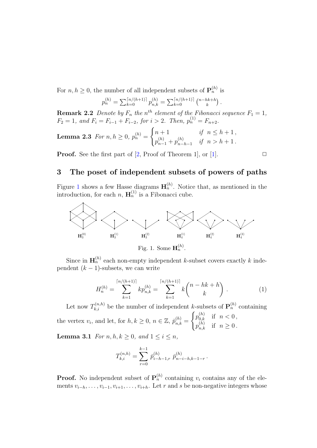For  $n, h \geq 0$ , the number of all independent subsets of  $\mathbf{P}_n^{(h)}$  is

$$
p_n^{(h)} = \sum_{k=0}^{\lceil n/(h+1)\rceil} p_{n,k}^{(h)} = \sum_{k=0}^{\lceil n/(h+1)\rceil} {n-hk+h \choose k}.
$$

**Remark 2.2** *Denote by*  $F_n$  *the*  $n^{th}$  *element of the Fibonacci sequence*  $F_1 = 1$ *,*  $F_2 = 1$ *, and*  $F_i = F_{i-1} + F_{i-2}$ *, for*  $i > 2$ *. Then,*  $p_n^{(1)} = F_{n+2}$ *.* 

**Lemma 2.3** For 
$$
n, h \ge 0
$$
,  $p_n^{(h)} = \begin{cases} n+1 & \text{if } n \le h+1, \\ p_{n-1}^{(h)} + p_{n-h-1}^{(h)} & \text{if } n > h+1. \end{cases}$ 

**Proof.** See the first part of  $[2, \text{Proof of Theorem 1}],$  or  $[1].$ 

# **3 The poset of independent subsets of powers of paths**

Figure 1 shows a few Hasse diagrams  $\mathbf{H}_n^{(h)}$ . Notice that, as mentioned in the introduction, for each *n*,  $\mathbf{H}_n^{(1)}$  is a Fibonacci cube.



Since in  $\mathbf{H}_n^{(h)}$  each non-empty independent *k*-subset covers exactly *k* independent  $(k - 1)$ -subsets, we can write

$$
H_n^{(h)} = \sum_{k=1}^{\lceil n/(h+1) \rceil} k p_{n,k}^{(h)} = \sum_{k=1}^{\lceil n/(h+1) \rceil} k {n - hk + h \choose k}.
$$
 (1)

Let now  $T_{k,i}^{(n,h)}$  be the number of independent *k*-subsets of  $\mathbf{P}_n^{(h)}$  containing the vertex  $v_i$ , and let, for  $h, k \geq 0$ ,  $n \in \mathbb{Z}$ ,  $\bar{p}_{n,k}^{(h)} =$  $\int p_{0,k}^{(h)}$  if  $n < 0$ ,  $p_{n,k}^{(h)}$  if  $n \ge 0$ .

**Lemma 3.1** *For*  $n, h, k \geq 0$ *, and*  $1 \leq i \leq n$ *,* 

$$
T_{k,i}^{(n,h)} = \sum_{r=0}^{k-1} \bar{p}_{i-h-1,r}^{(h)} \bar{p}_{n-i-h,k-1-r}^{(h)}.
$$

**Proof.** No independent subset of  $\mathbf{P}_n^{(h)}$  containing  $v_i$  contains any of the elements  $v_{i-h}, \ldots, v_{i-1}, v_{i+1}, \ldots, v_{i+h}$ . Let *r* and *s* be non-negative integers whose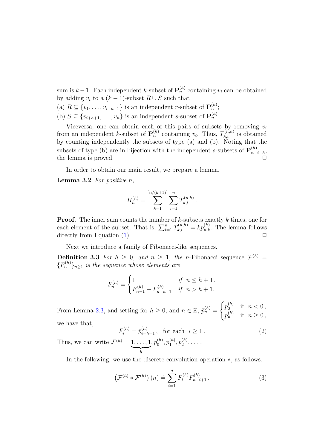sum is  $k-1$ . Each independent  $k$ -subset of  $\mathbf{P}_n^{(h)}$  containing  $v_i$  can be obtained by adding  $v_i$  to a  $(k-1)$ -subset  $R \cup S$  such that

- (a)  $R \subseteq \{v_1, \ldots, v_{i-h-1}\}$  is an independent *r*-subset of  $\mathbf{P}_n^{(h)}$ ;
- (b)  $S \subseteq \{v_{i+h+1}, \ldots, v_n\}$  is an independent *s*-subset of  $\mathbf{P}_n^{(h)}$ .

Viceversa, one can obtain each of this pairs of subsets by removing *v<sup>i</sup>* from an independent *k*-subset of  $\mathbf{P}_n^{(h)}$  containing  $v_i$ . Thus,  $T_{k,i}^{(n,h)}$  is obtained by counting independently the subsets of type  $\alpha$  and  $\beta$ ). Noting that the subsets of type (b) are in bijection with the independent *s*-subsets of  $\mathbf{P}_{n-}^{(h)}$ *n−i−h* , the lemma is proved.

In order to obtain our main result, we prepare a lemma.

**Lemma 3.2** *For positive n,*

$$
H_n^{(h)} = \sum_{k=1}^{\lceil n/(h+1) \rceil} \sum_{i=1}^n T_{k,i}^{(n,h)}.
$$

**Proof.** The inner sum counts the number of *k*-subsets exactly *k* times, one for each element of the subset. That is,  $\sum_{i=1}^{n} T_{k,i}^{(n,h)} = k p_{n,k}^{(h)}$ . The lemma follows directly from Equation  $(1)$ .  $\Box$ 

Next we introduce a family of Fibonacci-like sequences.

**Definition 3.3** For  $h \geq 0$ , and  $n \geq 1$ , the *h*-Fibonacci sequence  $\mathcal{F}^{(h)}$  =  ${F_n^{(h)}}_{n \geq 1}$  *is the sequence whose elements are* 

$$
F_n^{(h)} = \begin{cases} 1 & \text{if } n \le h+1, \\ F_{n-1}^{(h)} + F_{n-h-1}^{(h)} & \text{if } n > h+1. \end{cases}
$$

From Lemma 2.3, and setting for  $h \geq 0$ , and  $n \in \mathbb{Z}$ ,  $\bar{p}_n^{(h)} =$  $\int p_0^{(h)}$  $\int_{0}^{(n)}$  if  $n < 0$ ,  $p_n^{(h)}$  if  $n \ge 0$ , we have that,

$$
F_i^{(h)} = \bar{p}_{i-h-1}^{(h)}, \text{ for each } i \ge 1.
$$
 (2)

Thus, we can write  $\mathcal{F}^{(h)} = 1, \ldots, 1$  $\sum_{h}$  $, p_0^{(h)}$  $p_0^{(h)}, p_1^{(h)}$  $p_1^{(h)},p_2^{(h)}$  $x_2^{(n)}, \ldots$ .

In the following, we use the discrete convolution operation *∗*, as follows.

$$
\left(\mathcal{F}^{(h)} * \mathcal{F}^{(h)}\right)(n) \doteq \sum_{i=1}^{n} F_i^{(h)} F_{n-i+1}^{(h)}.
$$
 (3)